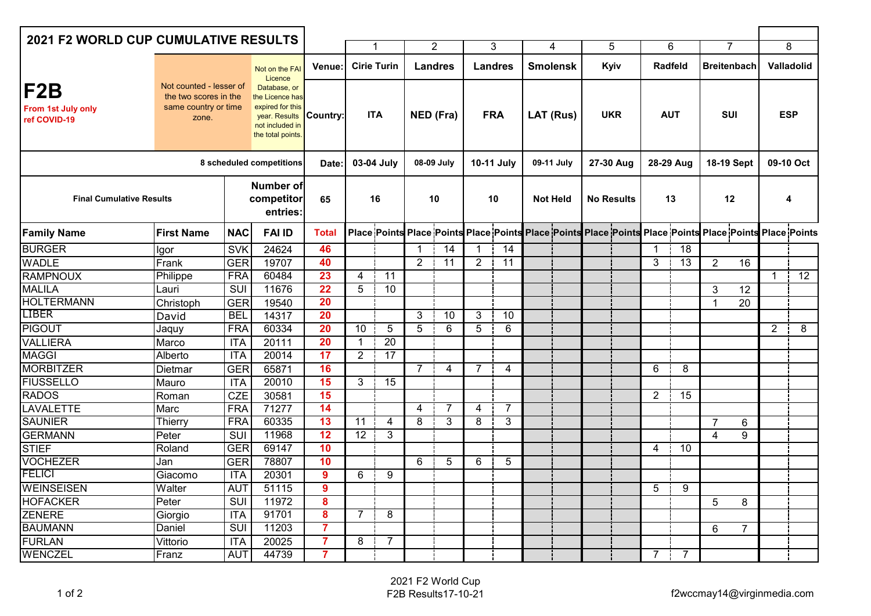| <b>2021 F2 WORLD CUP CUMULATIVE RESULTS</b> |                                                                                   |                                                                                                              |                                     |                         |                                  |                 |                             |                 |                              |                 |                                                                                                         |                   |                    |                |                       |                   |                                  |                |                                 |  |
|---------------------------------------------|-----------------------------------------------------------------------------------|--------------------------------------------------------------------------------------------------------------|-------------------------------------|-------------------------|----------------------------------|-----------------|-----------------------------|-----------------|------------------------------|-----------------|---------------------------------------------------------------------------------------------------------|-------------------|--------------------|----------------|-----------------------|-------------------|----------------------------------|----------------|---------------------------------|--|
|                                             |                                                                                   |                                                                                                              |                                     |                         | -1                               |                 | $\overline{2}$              |                 | 3                            |                 | 5<br>4                                                                                                  |                   | 6                  |                | $\overline{7}$        |                   | $\overline{8}$                   |                |                                 |  |
|                                             |                                                                                   |                                                                                                              | Not on the FAI<br>Licence           | Venue:                  | <b>Cirie Turin</b><br><b>ITA</b> |                 | <b>Landres</b><br>NED (Fra) |                 | <b>Landres</b><br><b>FRA</b> |                 | <b>Smolensk</b>                                                                                         |                   | Kyiv<br><b>UKR</b> |                | Radfeld<br><b>AUT</b> |                   | <b>Breitenbach</b><br><b>SUI</b> |                | <b>Valladolid</b><br><b>ESP</b> |  |
| IF2B<br>From 1st July only<br>ref COVID-19  | Not counted - lesser of<br>the two scores in the<br>same country or time<br>zone. | Database, or<br>the Licence has<br>expired for this<br>year. Results<br>not included in<br>the total points. |                                     | Country:                |                                  |                 |                             |                 |                              |                 | LAT (Rus)                                                                                               |                   |                    |                |                       |                   |                                  |                |                                 |  |
| 8 scheduled competitions                    |                                                                                   |                                                                                                              |                                     | Date:                   | 03-04 July                       |                 | 08-09 July                  |                 | 10-11 July                   |                 | 09-11 July                                                                                              | 27-30 Aug         |                    | 28-29 Aug      |                       | <b>18-19 Sept</b> |                                  | 09-10 Oct      |                                 |  |
| <b>Final Cumulative Results</b>             |                                                                                   |                                                                                                              | Number of<br>competitor<br>entries: | 65                      | 16                               |                 | 10                          |                 | 10                           |                 | <b>Not Held</b>                                                                                         | <b>No Results</b> |                    | 13             |                       | 12                |                                  | 4              |                                 |  |
| <b>Family Name</b>                          | <b>First Name</b>                                                                 | <b>NAC</b>                                                                                                   | <b>FAI ID</b>                       | <b>Total</b>            |                                  |                 |                             |                 |                              |                 | Place Points Place Points Place Points Place Points Place Points Place Points Place Points Place Points |                   |                    |                |                       |                   |                                  |                |                                 |  |
| <b>BURGER</b>                               | Igor                                                                              | <b>SVK</b>                                                                                                   | 24624                               | 46                      |                                  |                 | 1                           | 14              |                              | $\overline{14}$ |                                                                                                         |                   |                    | $\mathbf 1$    | $\overline{18}$       |                   |                                  |                |                                 |  |
| <b>WADLE</b>                                | Frank                                                                             | <b>GER</b>                                                                                                   | 19707                               | 40                      |                                  |                 | $\overline{2}$              | $\overline{11}$ | $\overline{2}$               | $\overline{11}$ |                                                                                                         |                   |                    | 3              | $\overline{13}$       | $\overline{2}$    | 16                               |                |                                 |  |
| <b>RAMPNOUX</b>                             | Philippe                                                                          | <b>FRA</b>                                                                                                   | 60484                               | 23                      | 4                                | 11              |                             |                 |                              |                 |                                                                                                         |                   |                    |                |                       |                   |                                  | $\mathbf{1}$   | $\overline{12}$                 |  |
| <b>MALILA</b>                               | Lauri                                                                             | SUI                                                                                                          | 11676                               | 22                      | 5                                | 10              |                             |                 |                              |                 |                                                                                                         |                   |                    |                |                       | 3                 | 12                               |                |                                 |  |
| <b>HOLTERMANN</b>                           | Christoph                                                                         | <b>GER</b>                                                                                                   | 19540                               | 20                      |                                  |                 |                             |                 |                              |                 |                                                                                                         |                   |                    |                |                       | $\mathbf 1$       | 20                               |                |                                 |  |
| <b>LIBER</b>                                | David                                                                             | <b>BEL</b>                                                                                                   | 14317                               | 20                      |                                  |                 | 3                           | $\overline{10}$ | 3                            | $\overline{10}$ |                                                                                                         |                   |                    |                |                       |                   |                                  |                |                                 |  |
| <b>PIGOUT</b>                               | Jaquy                                                                             | <b>FRA</b>                                                                                                   | 60334                               | 20                      | 10                               | $\overline{5}$  | $\overline{5}$              | $\overline{6}$  | $\overline{5}$               | 6               |                                                                                                         |                   |                    |                |                       |                   |                                  | $\overline{2}$ | 8                               |  |
| <b>VALLIERA</b>                             | Marco                                                                             | <b>ITA</b>                                                                                                   | 20111                               | $\overline{20}$         | 1                                | $\overline{20}$ |                             |                 |                              |                 |                                                                                                         |                   |                    |                |                       |                   |                                  |                |                                 |  |
| <b>MAGGI</b>                                | Alberto                                                                           | ITA                                                                                                          | 20014                               | 17                      | $\overline{2}$                   | $\overline{17}$ |                             |                 |                              |                 |                                                                                                         |                   |                    |                |                       |                   |                                  |                |                                 |  |
| <b>MORBITZER</b>                            | Dietmar                                                                           | <b>GER</b>                                                                                                   | 65871                               | 16                      |                                  |                 | 7                           | 4               | 7                            | 4               |                                                                                                         |                   |                    | 6              | 8                     |                   |                                  |                |                                 |  |
| <b>FIUSSELLO</b>                            | Mauro                                                                             | <b>ITA</b>                                                                                                   | 20010                               | 15                      | 3                                | $\overline{15}$ |                             |                 |                              |                 |                                                                                                         |                   |                    |                |                       |                   |                                  |                |                                 |  |
| <b>RADOS</b>                                | Roman                                                                             | <b>CZE</b>                                                                                                   | 30581                               | 15                      |                                  |                 |                             |                 |                              |                 |                                                                                                         |                   |                    | $\overline{2}$ | $\overline{15}$       |                   |                                  |                |                                 |  |
| <b>LAVALETTE</b>                            | Marc                                                                              | <b>FRA</b>                                                                                                   | 71277                               | 14                      |                                  |                 | 4                           | 7               | 4                            | $\overline{7}$  |                                                                                                         |                   |                    |                |                       |                   |                                  |                |                                 |  |
| <b>SAUNIER</b>                              | Thierrv                                                                           | <b>FRA</b>                                                                                                   | 60335                               | 13                      | 11                               | 4               | 8                           | 3               | 8                            | 3               |                                                                                                         |                   |                    |                |                       | $\overline{7}$    | 6                                |                |                                 |  |
| <b>GERMANN</b>                              | Peter                                                                             | SUI                                                                                                          | 11968                               | $\overline{12}$         | $\overline{12}$                  | 3               |                             |                 |                              |                 |                                                                                                         |                   |                    |                |                       | $\overline{4}$    | 9                                |                |                                 |  |
| <b>STIEF</b>                                | Roland                                                                            | <b>GER</b>                                                                                                   | 69147                               | 10                      |                                  |                 |                             |                 |                              |                 |                                                                                                         |                   |                    | 4              | 10                    |                   |                                  |                |                                 |  |
| <b>VOCHEZER</b>                             | Jan                                                                               | <b>GER</b>                                                                                                   | 78807                               | 10                      |                                  |                 | 6                           | 5               | 6                            | 5               |                                                                                                         |                   |                    |                |                       |                   |                                  |                |                                 |  |
| <b>FELICI</b>                               | Giacomo                                                                           | ITA                                                                                                          | 20301                               | $\overline{9}$          | 6                                | 9               |                             |                 |                              |                 |                                                                                                         |                   |                    |                |                       |                   |                                  |                |                                 |  |
| <b>WEINSEISEN</b>                           | Walter                                                                            | <b>AUT</b>                                                                                                   | 51115                               | $\overline{9}$          |                                  |                 |                             |                 |                              |                 |                                                                                                         |                   |                    | 5              | 9                     |                   |                                  |                |                                 |  |
| <b>HOFACKER</b>                             | Peter                                                                             | $\overline{\text{SUI}}$                                                                                      | 11972                               | $\overline{\mathbf{8}}$ |                                  |                 |                             |                 |                              |                 |                                                                                                         |                   |                    |                |                       | 5                 | 8                                |                |                                 |  |
| <b>ZENERE</b>                               | Giorgio                                                                           | <b>ITA</b>                                                                                                   | 91701                               | 8                       | 7                                | 8               |                             |                 |                              |                 |                                                                                                         |                   |                    |                |                       |                   |                                  |                |                                 |  |
| <b>BAUMANN</b>                              | Daniel                                                                            | $\overline{\text{SUI}}$                                                                                      | 11203                               | $\overline{7}$          |                                  |                 |                             |                 |                              |                 |                                                                                                         |                   |                    |                |                       | 6                 | $\overline{7}$                   |                |                                 |  |
| <b>FURLAN</b>                               | Vittorio                                                                          | <b>ITA</b>                                                                                                   | 20025                               | $\overline{7}$          | 8                                | 7               |                             |                 |                              |                 |                                                                                                         |                   |                    |                |                       |                   |                                  |                |                                 |  |
| <b>WENCZEL</b>                              | Franz                                                                             | <b>AUT</b>                                                                                                   | 44739                               | $\overline{7}$          |                                  |                 |                             |                 |                              |                 |                                                                                                         |                   |                    | 7              | $\overline{7}$        |                   |                                  |                |                                 |  |